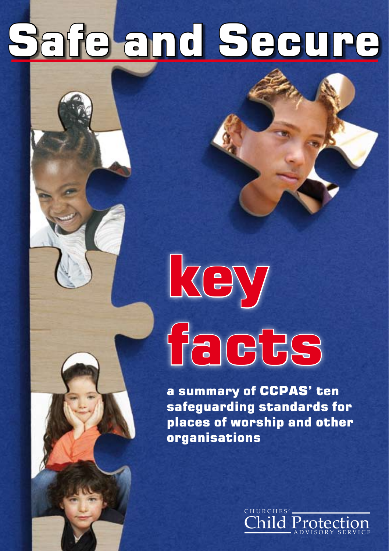## Safe and Secure

# key facts

a summary of CCPAS' ten safeguarding standards for places of worship and other organisations

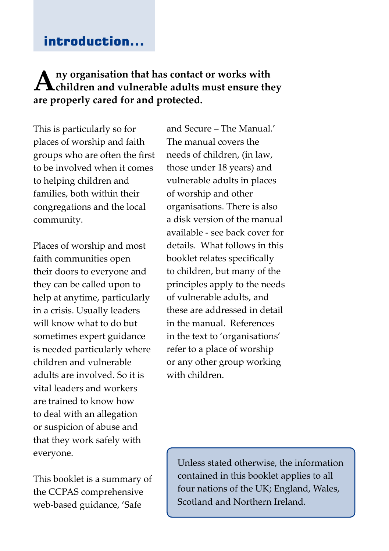#### introduction...

#### **Any organisation that has contact or works with children and vulnerable adults must ensure they are properly cared for and protected.**

This is particularly so for places of worship and faith groups who are often the first to be involved when it comes to helping children and families, both within their congregations and the local community.

Places of worship and most faith communities open their doors to everyone and they can be called upon to help at anytime, particularly in a crisis. Usually leaders will know what to do but sometimes expert guidance is needed particularly where children and vulnerable adults are involved. So it is vital leaders and workers are trained to know how to deal with an allegation or suspicion of abuse and that they work safely with everyone.

This booklet is a summary of the CCPAS comprehensive web-based guidance, 'Safe

and Secure – The Manual.' The manual covers the needs of children, (in law, those under 18 years) and vulnerable adults in places of worship and other organisations. There is also a disk version of the manual available - see back cover for details. What follows in this booklet relates specifically to children, but many of the principles apply to the needs of vulnerable adults, and these are addressed in detail in the manual. References in the text to 'organisations' refer to a place of worship or any other group working with children.

Unless stated otherwise, the information contained in this booklet applies to all four nations of the UK; England, Wales, Scotland and Northern Ireland.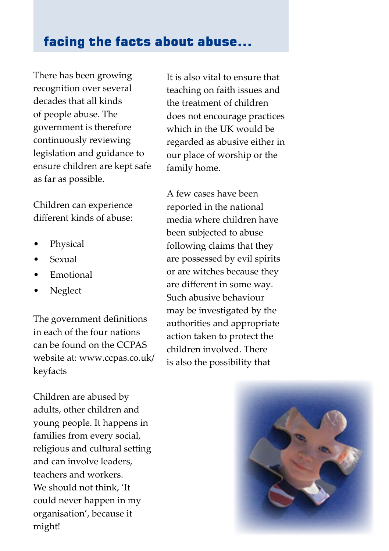#### facing the facts about abuse...

There has been growing recognition over several decades that all kinds of people abuse. The government is therefore continuously reviewing legislation and guidance to ensure children are kept safe as far as possible.

Children can experience different kinds of abuse:

- Physical
- Sexual
- **Emotional**
- Neglect

The government definitions in each of the four nations can be found on the CCPAS website at: www.ccpas.co.uk/ keyfacts

Children are abused by adults, other children and young people. It happens in families from every social, religious and cultural setting and can involve leaders, teachers and workers. We should not think, 'It could never happen in my organisation', because it might!

It is also vital to ensure that teaching on faith issues and the treatment of children does not encourage practices which in the UK would be regarded as abusive either in our place of worship or the family home.

A few cases have been reported in the national media where children have been subjected to abuse following claims that they are possessed by evil spirits or are witches because they are different in some way. Such abusive behaviour may be investigated by the authorities and appropriate action taken to protect the children involved. There is also the possibility that

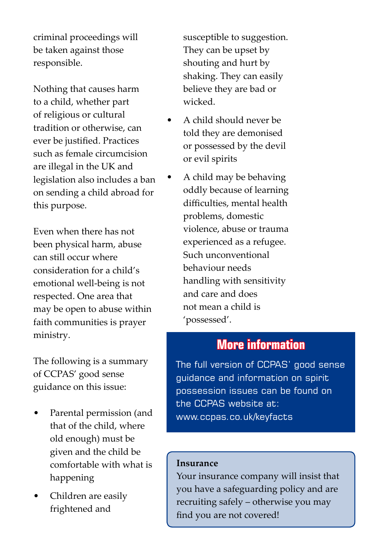criminal proceedings will be taken against those responsible.

Nothing that causes harm to a child, whether part of religious or cultural tradition or otherwise, can ever be justified. Practices such as female circumcision are illegal in the UK and legislation also includes a ban on sending a child abroad for this purpose.

Even when there has not been physical harm, abuse can still occur where consideration for a child's emotional well-being is not respected. One area that may be open to abuse within faith communities is prayer ministry.

The following is a summary of CCPAS' good sense guidance on this issue:

- Parental permission (and that of the child, where old enough) must be given and the child be comfortable with what is happening
- Children are easily frightened and

susceptible to suggestion. They can be upset by shouting and hurt by shaking. They can easily believe they are bad or wicked.

- A child should never be told they are demonised or possessed by the devil or evil spirits
- A child may be behaving oddly because of learning difficulties, mental health problems, domestic violence, abuse or trauma experienced as a refugee. Such unconventional behaviour needs handling with sensitivity and care and does not mean a child is 'possessed'.

#### **More information**

The full version of CCPAS' good sense guidance and information on spirit possession issues can be found on the CCPAS website at: www.ccpas.co.uk/keyfacts

#### **Insurance**

Your insurance company will insist that you have a safeguarding policy and are recruiting safely – otherwise you may find you are not covered!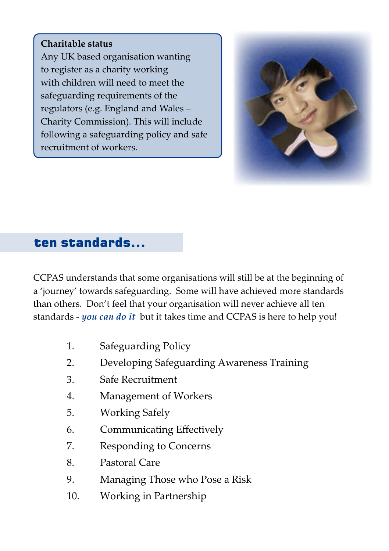#### **Charitable status**

Any UK based organisation wanting to register as a charity working with children will need to meet the safeguarding requirements of the regulators (e.g. England and Wales – Charity Commission). This will include following a safeguarding policy and safe recruitment of workers.



#### ten standards...

CCPAS understands that some organisations will still be at the beginning of a 'journey' towards safeguarding. Some will have achieved more standards than others. Don't feel that your organisation will never achieve all ten standards - *you can do it* but it takes time and CCPAS is here to help you!

- 1. Safeguarding Policy
- 2. Developing Safeguarding Awareness Training
- 3. Safe Recruitment
- 4. Management of Workers
- 5. Working Safely
- 6. Communicating Effectively
- 7. Responding to Concerns
- 8. Pastoral Care
- 9. Managing Those who Pose a Risk
- 10. Working in Partnership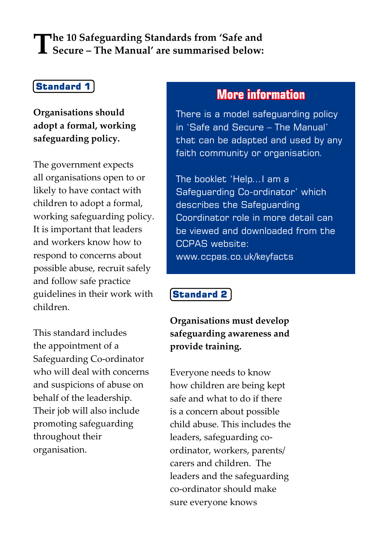## **The 10 Safeguarding Standards from 'Safe and Secure – The Manual' are summarised below:**

#### Standard 1

**Organisations should adopt a formal, working safeguarding policy.**

The government expects all organisations open to or likely to have contact with children to adopt a formal, working safeguarding policy. It is important that leaders and workers know how to respond to concerns about possible abuse, recruit safely and follow safe practice guidelines in their work with children.

This standard includes the appointment of a Safeguarding Co-ordinator who will deal with concerns and suspicions of abuse on behalf of the leadership. Their job will also include promoting safeguarding throughout their organisation.

#### **More information**

There is a model safeguarding policy in 'Safe and Secure – The Manual' that can be adapted and used by any faith community or organisation.

The booklet 'Help…I am a Safeguarding Co-ordinator' which describes the Safeguarding Coordinator role in more detail can be viewed and downloaded from the CCPAS website: www.ccpas.co.uk/keyfacts

#### Standard 2

**Organisations must develop safeguarding awareness and provide training.** 

Everyone needs to know how children are being kept safe and what to do if there is a concern about possible child abuse. This includes the leaders, safeguarding coordinator, workers, parents/ carers and children. The leaders and the safeguarding co-ordinator should make sure everyone knows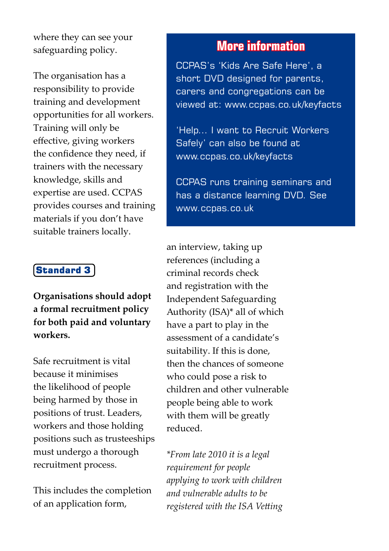where they can see your safeguarding policy.

The organisation has a responsibility to provide training and development opportunities for all workers. Training will only be effective, giving workers the confidence they need, if trainers with the necessary knowledge, skills and expertise are used. CCPAS provides courses and training materials if you don't have suitable trainers locally.

#### Standard 3

**Organisations should adopt a formal recruitment policy for both paid and voluntary workers.**

Safe recruitment is vital because it minimises the likelihood of people being harmed by those in positions of trust. Leaders, workers and those holding positions such as trusteeships must undergo a thorough recruitment process.

This includes the completion of an application form,

#### **More information**

CCPAS's 'Kids Are Safe Here', a short DVD designed for parents, carers and congregations can be viewed at: www.ccpas.co.uk/keyfacts

'Help... I want to Recruit Workers Safely' can also be found at www.ccpas.co.uk/keyfacts

CCPAS runs training seminars and has a distance learning DVD. See www.ccpas.co.uk

an interview, taking up references (including a criminal records check and registration with the Independent Safeguarding Authority (ISA)\* all of which have a part to play in the assessment of a candidate's suitability. If this is done, then the chances of someone who could pose a risk to children and other vulnerable people being able to work with them will be greatly reduced.

*\*From late 2010 it is a legal requirement for people applying to work with children and vulnerable adults to be registered with the ISA Vetting*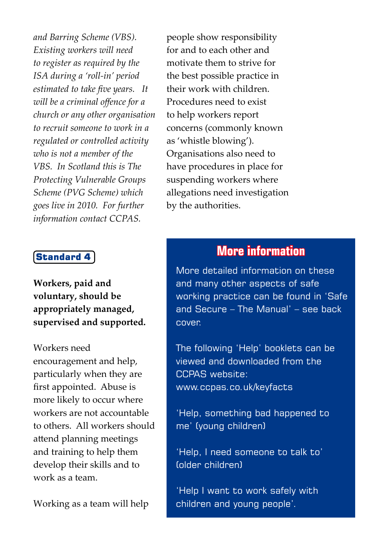*and Barring Scheme (VBS). Existing workers will need to register as required by the ISA during a 'roll-in' period estimated to take five years. It will be a criminal offence for a church or any other organisation to recruit someone to work in a regulated or controlled activity who is not a member of the VBS. In Scotland this is The Protecting Vulnerable Groups Scheme (PVG Scheme) which goes live in 2010. For further information contact CCPAS.*

#### Standard 4

**Workers, paid and voluntary, should be appropriately managed, supervised and supported.** 

Workers need encouragement and help, particularly when they are first appointed. Abuse is more likely to occur where workers are not accountable to others. All workers should attend planning meetings and training to help them develop their skills and to work as a team.

Working as a team will help

people show responsibility for and to each other and motivate them to strive for the best possible practice in their work with children. Procedures need to exist to help workers report concerns (commonly known as 'whistle blowing'). Organisations also need to have procedures in place for suspending workers where allegations need investigation by the authorities.

#### **More information**

More detailed information on these and many other aspects of safe working practice can be found in 'Safe and Secure – The Manual' – see back cover.

The following 'Help' booklets can be viewed and downloaded from the CCPAS website: www.ccpas.co.uk/keyfacts

'Help, something bad happened to me' (young children)

'Help, I need someone to talk to' (older children)

'Help I want to work safely with children and young people'.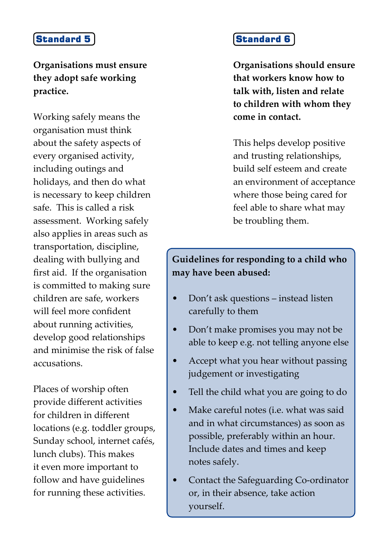#### **Organisations must ensure they adopt safe working practice.**

Working safely means the organisation must think about the safety aspects of every organised activity, including outings and holidays, and then do what is necessary to keep children safe. This is called a risk assessment. Working safely also applies in areas such as transportation, discipline, dealing with bullying and first aid. If the organisation is committed to making sure children are safe, workers will feel more confident about running activities, develop good relationships and minimise the risk of false accusations.

Places of worship often provide different activities for children in different locations (e.g. toddler groups, Sunday school, internet cafés, lunch clubs). This makes it even more important to follow and have guidelines for running these activities.

#### Standard 6

**Organisations should ensure that workers know how to talk with, listen and relate to children with whom they come in contact.** 

This helps develop positive and trusting relationships, build self esteem and create an environment of acceptance where those being cared for feel able to share what may be troubling them.

#### **Guidelines for responding to a child who may have been abused:**

- Don't ask questions instead listen carefully to them
- Don't make promises you may not be able to keep e.g. not telling anyone else
- Accept what you hear without passing judgement or investigating
- Tell the child what you are going to do
- Make careful notes (i.e. what was said and in what circumstances) as soon as possible, preferably within an hour. Include dates and times and keep notes safely.
- Contact the Safeguarding Co-ordinator or, in their absence, take action yourself.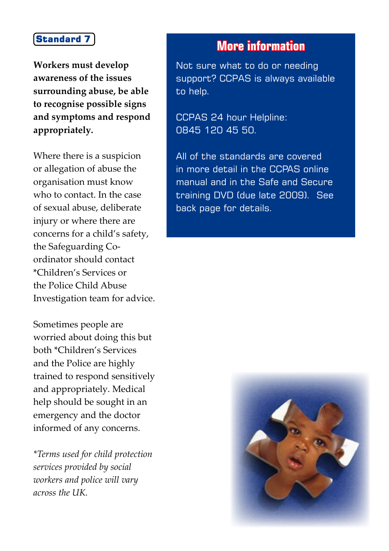**Workers must develop awareness of the issues surrounding abuse, be able to recognise possible signs and symptoms and respond appropriately.**

Where there is a suspicion or allegation of abuse the organisation must know who to contact. In the case of sexual abuse, deliberate injury or where there are concerns for a child's safety, the Safeguarding Coordinator should contact \*Children's Services or the Police Child Abuse Investigation team for advice.

Sometimes people are worried about doing this but both \*Children's Services and the Police are highly trained to respond sensitively and appropriately. Medical help should be sought in an emergency and the doctor informed of any concerns.

*\*Terms used for child protection services provided by social workers and police will vary across the UK.*

#### **More information**

Not sure what to do or needing support? CCPAS is always available to help.

CCPAS 24 hour Helpline: 0845 120 45 50.

All of the standards are covered in more detail in the CCPAS online manual and in the Safe and Secure training DVD (due late 2009). See back page for details.

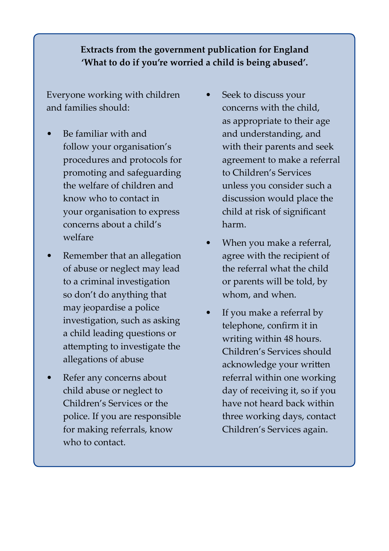#### **Extracts from the government publication for England 'What to do if you're worried a child is being abused'.**

Everyone working with children and families should:

- Be familiar with and follow your organisation's procedures and protocols for promoting and safeguarding the welfare of children and know who to contact in your organisation to express concerns about a child's welfare
- Remember that an allegation of abuse or neglect may lead to a criminal investigation so don't do anything that may jeopardise a police investigation, such as asking a child leading questions or attempting to investigate the allegations of abuse
- Refer any concerns about child abuse or neglect to Children's Services or the police. If you are responsible for making referrals, know who to contact.
- Seek to discuss your concerns with the child, as appropriate to their age and understanding, and with their parents and seek agreement to make a referral to Children's Services unless you consider such a discussion would place the child at risk of significant harm.
- When you make a referral, agree with the recipient of the referral what the child or parents will be told, by whom, and when.
- If you make a referral by telephone, confirm it in writing within 48 hours. Children's Services should acknowledge your written referral within one working day of receiving it, so if you have not heard back within three working days, contact Children's Services again.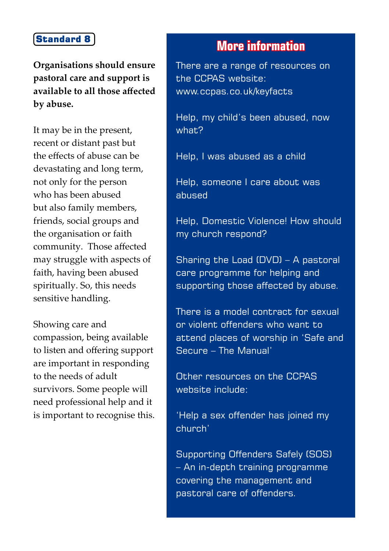**Organisations should ensure pastoral care and support is available to all those affected by abuse.** 

It may be in the present, recent or distant past but the effects of abuse can be devastating and long term, not only for the person who has been abused but also family members, friends, social groups and the organisation or faith community. Those affected may struggle with aspects of faith, having been abused spiritually. So, this needs sensitive handling.

Showing care and compassion, being available to listen and offering support are important in responding to the needs of adult survivors. Some people will need professional help and it is important to recognise this.

#### **More information**

There are a range of resources on the CCPAS website: www.ccpas.co.uk/keyfacts

Help, my child's been abused, now what?

Help, I was abused as a child

Help, someone I care about was abused

Help, Domestic Violence! How should my church respond?

Sharing the Load (DVD) – A pastoral care programme for helping and supporting those affected by abuse.

There is a model contract for sexual or violent offenders who want to attend places of worship in 'Safe and Secure – The Manual'

Other resources on the CCPAS website include:

'Help a sex offender has joined my church'

Supporting Offenders Safely (SOS) – An in-depth training programme covering the management and pastoral care of offenders.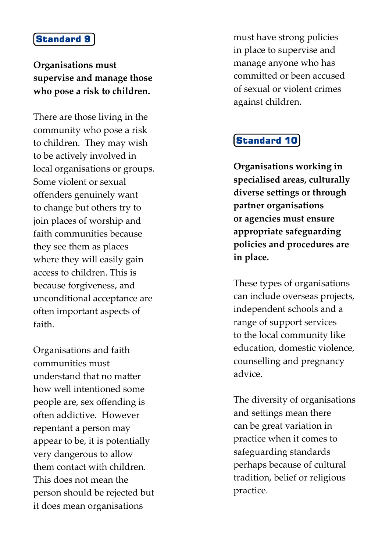#### **Organisations must supervise and manage those who pose a risk to children.**

There are those living in the community who pose a risk to children. They may wish to be actively involved in local organisations or groups. Some violent or sexual offenders genuinely want to change but others try to join places of worship and faith communities because they see them as places where they will easily gain access to children. This is because forgiveness, and unconditional acceptance are often important aspects of faith.

Organisations and faith communities must understand that no matter how well intentioned some people are, sex offending is often addictive. However repentant a person may appear to be, it is potentially very dangerous to allow them contact with children. This does not mean the person should be rejected but it does mean organisations

must have strong policies in place to supervise and manage anyone who has committed or been accused of sexual or violent crimes against children.

#### Standard 10

**Organisations working in specialised areas, culturally diverse settings or through partner organisations or agencies must ensure appropriate safeguarding policies and procedures are in place.** 

These types of organisations can include overseas projects, independent schools and a range of support services to the local community like education, domestic violence, counselling and pregnancy advice.

The diversity of organisations and settings mean there can be great variation in practice when it comes to safeguarding standards perhaps because of cultural tradition, belief or religious practice.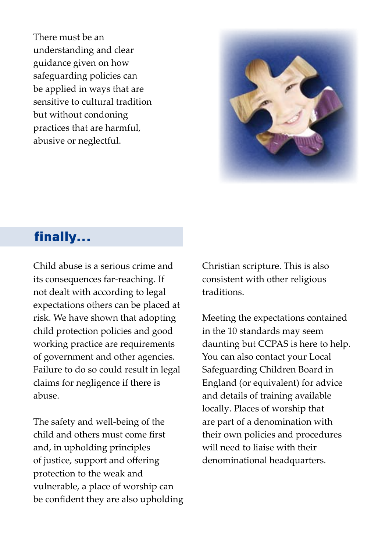There must be an understanding and clear guidance given on how safeguarding policies can be applied in ways that are sensitive to cultural tradition but without condoning practices that are harmful, abusive or neglectful.



#### finally...

Child abuse is a serious crime and its consequences far-reaching. If not dealt with according to legal expectations others can be placed at risk. We have shown that adopting child protection policies and good working practice are requirements of government and other agencies. Failure to do so could result in legal claims for negligence if there is abuse.

The safety and well-being of the child and others must come first and, in upholding principles of justice, support and offering protection to the weak and vulnerable, a place of worship can be confident they are also upholding Christian scripture. This is also consistent with other religious traditions.

Meeting the expectations contained in the 10 standards may seem daunting but CCPAS is here to help. You can also contact your Local Safeguarding Children Board in England (or equivalent) for advice and details of training available locally. Places of worship that are part of a denomination with their own policies and procedures will need to liaise with their denominational headquarters.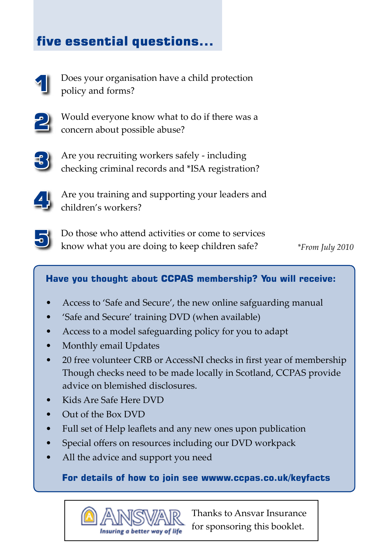### five essential questions...



Does your organisation have a child protection policy and forms?



Would everyone know what to do if there was a concern about possible abuse?



Are you recruiting workers safely - including checking criminal records and \*ISA registration?



Are you training and supporting your leaders and children's workers?



Do those who attend activities or come to services know what you are doing to keep children safe?

*\*From July 2010*

#### **Have you thought about CCPAS membership? You will receive:**

- Access to 'Safe and Secure', the new online safguarding manual
- 'Safe and Secure' training DVD (when available)
- Access to a model safeguarding policy for you to adapt
- Monthly email Updates
- 20 free volunteer CRB or AccessNI checks in first year of membership Though checks need to be made locally in Scotland, CCPAS provide advice on blemished disclosures.
- Kids Are Safe Here DVD
- Out of the Box DVD
- Full set of Help leaflets and any new ones upon publication
- Special offers on resources including our DVD workpack
- All the advice and support you need

**For details of how to join see wwww.ccpas.co.uk/keyfacts**



Thanks to Ansvar Insurance for sponsoring this booklet.